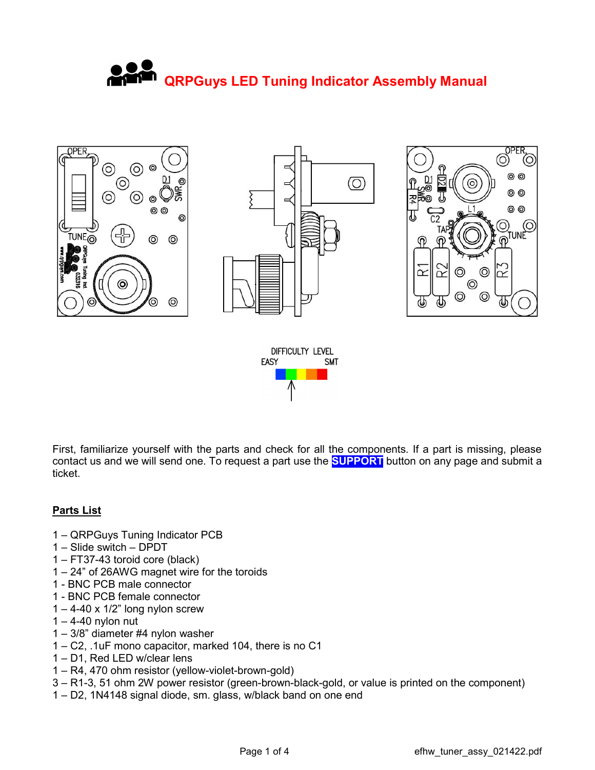## QRPGuys LED Tuning Indicator Assembly Manual



First, familiarize yourself with the parts and check for all the components. If a part is missing, please contact us and we will send one. To request a part use the **SUPPORT** button on any page and submit a ticket.

## Parts List

- 1 QRPGuys Tuning Indicator PCB
- 1 Slide switch DPDT
- 1 FT37-43 toroid core (black)
- 1 24" of 26AWG magnet wire for the toroids
- 1 BNC PCB male connector
- 1 BNC PCB female connector
- $1 4 40 \times 1/2$ " long nylon screw
- $1 4 40$  nylon nut
- 1 3/8" diameter #4 nylon washer
- 1 C2, .1uF mono capacitor, marked 104, there is no C1
- 1 D1, Red LED w/clear lens
- 1 R4, 470 ohm resistor (yellow-violet-brown-gold)
- 3 R1-3, 51 ohm 2W power resistor (green-brown-black-gold, or value is printed on the component)
- 1 D2, 1N4148 signal diode, sm. glass, w/black band on one end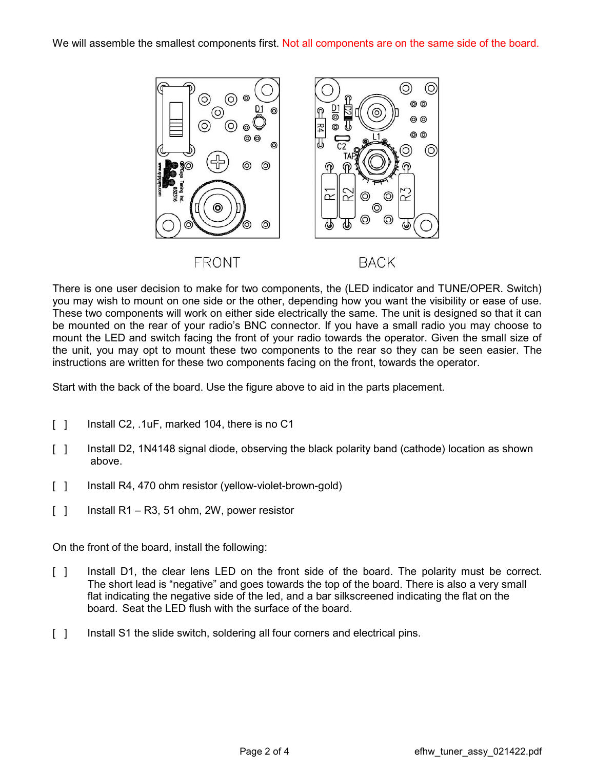

There is one user decision to make for two components, the (LED indicator and TUNE/OPER. Switch) you may wish to mount on one side or the other, depending how you want the visibility or ease of use. These two components will work on either side electrically the same. The unit is designed so that it can be mounted on the rear of your radio's BNC connector. If you have a small radio you may choose to mount the LED and switch facing the front of your radio towards the operator. Given the small size of the unit, you may opt to mount these two components to the rear so they can be seen easier. The instructions are written for these two components facing on the front, towards the operator.

Start with the back of the board. Use the figure above to aid in the parts placement.

- [ ] Install C2, .1uF, marked 104, there is no C1
- [ ] Install D2, 1N4148 signal diode, observing the black polarity band (cathode) location as shown above.
- [ ] Install R4, 470 ohm resistor (yellow-violet-brown-gold)
- $[ ]$  Install R1 R3, 51 ohm, 2W, power resistor

On the front of the board, install the following:

- [ ] Install D1, the clear lens LED on the front side of the board. The polarity must be correct. The short lead is "negative" and goes towards the top of the board. There is also a very small flat indicating the negative side of the led, and a bar silkscreened indicating the flat on the board. Seat the LED flush with the surface of the board.
- [ ] Install S1 the slide switch, soldering all four corners and electrical pins.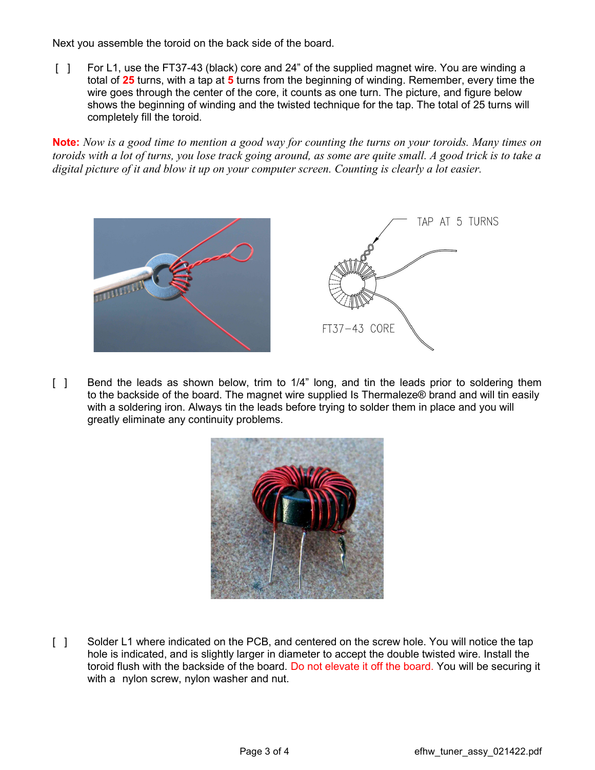Next you assemble the toroid on the back side of the board.

[ ] For L1, use the FT37-43 (black) core and 24" of the supplied magnet wire. You are winding a total of 25 turns, with a tap at 5 turns from the beginning of winding. Remember, every time the wire goes through the center of the core, it counts as one turn. The picture, and figure below shows the beginning of winding and the twisted technique for the tap. The total of 25 turns will completely fill the toroid.

Note: Now is a good time to mention a good way for counting the turns on your toroids. Many times on toroids with a lot of turns, you lose track going around, as some are quite small. A good trick is to take a digital picture of it and blow it up on your computer screen. Counting is clearly a lot easier.



[ ] Bend the leads as shown below, trim to 1/4" long, and tin the leads prior to soldering them to the backside of the board. The magnet wire supplied Is Thermaleze® brand and will tin easily with a soldering iron. Always tin the leads before trying to solder them in place and you will greatly eliminate any continuity problems.



[ ] Solder L1 where indicated on the PCB, and centered on the screw hole. You will notice the tap hole is indicated, and is slightly larger in diameter to accept the double twisted wire. Install the toroid flush with the backside of the board. Do not elevate it off the board. You will be securing it with a nylon screw, nylon washer and nut.